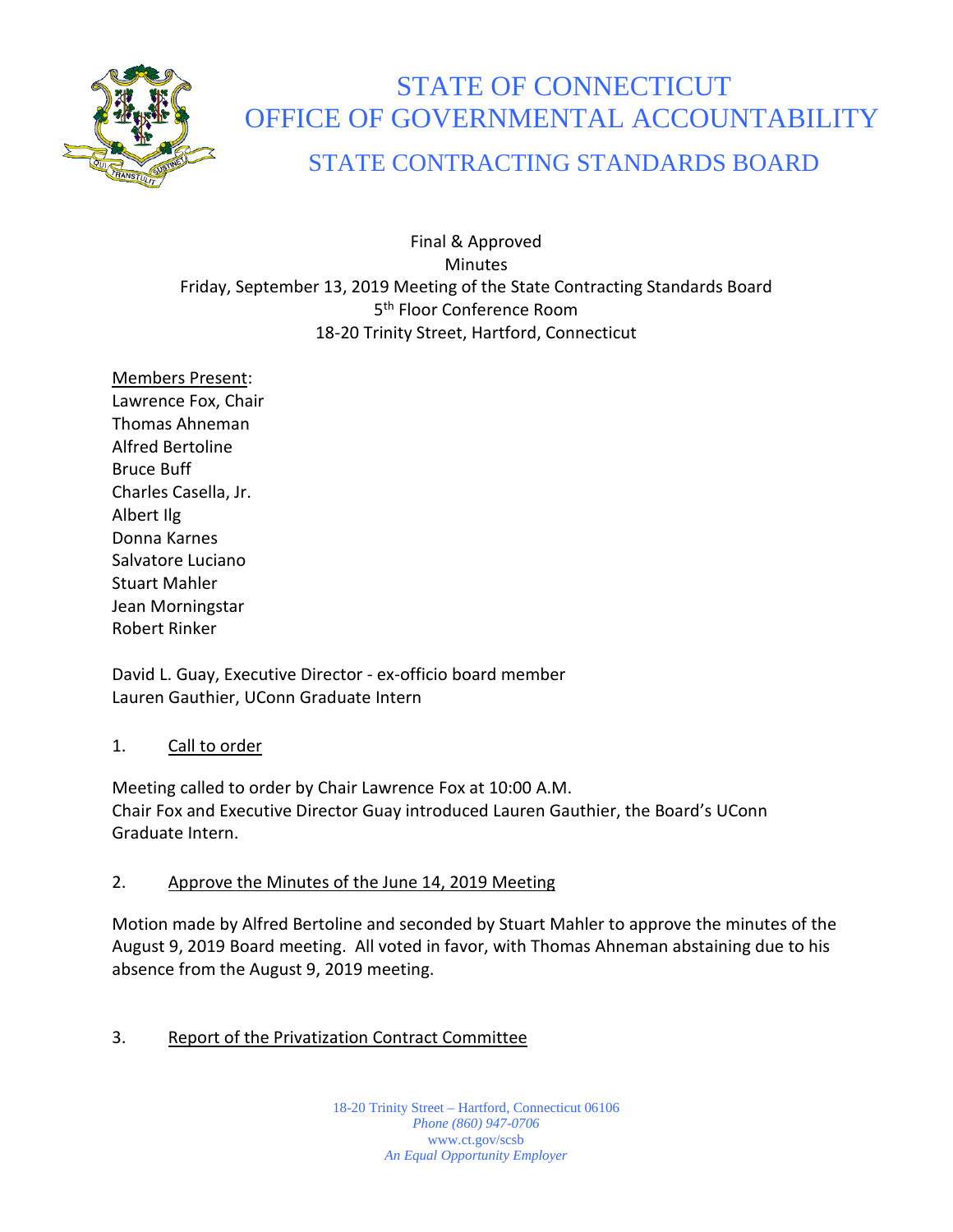

# STATE OF CONNECTICUT OFFICE OF GOVERNMENTAL ACCOUNTABILITY

# STATE CONTRACTING STANDARDS BOARD

Final & Approved Minutes Friday, September 13, 2019 Meeting of the State Contracting Standards Board 5<sup>th</sup> Floor Conference Room 18-20 Trinity Street, Hartford, Connecticut

Members Present: Lawrence Fox, Chair Thomas Ahneman Alfred Bertoline Bruce Buff Charles Casella, Jr. Albert Ilg Donna Karnes Salvatore Luciano Stuart Mahler Jean Morningstar Robert Rinker

David L. Guay, Executive Director - ex-officio board member Lauren Gauthier, UConn Graduate Intern

### 1. Call to order

Meeting called to order by Chair Lawrence Fox at 10:00 A.M. Chair Fox and Executive Director Guay introduced Lauren Gauthier, the Board's UConn Graduate Intern.

# 2. Approve the Minutes of the June 14, 2019 Meeting

Motion made by Alfred Bertoline and seconded by Stuart Mahler to approve the minutes of the August 9, 2019 Board meeting. All voted in favor, with Thomas Ahneman abstaining due to his absence from the August 9, 2019 meeting.

# 3. Report of the Privatization Contract Committee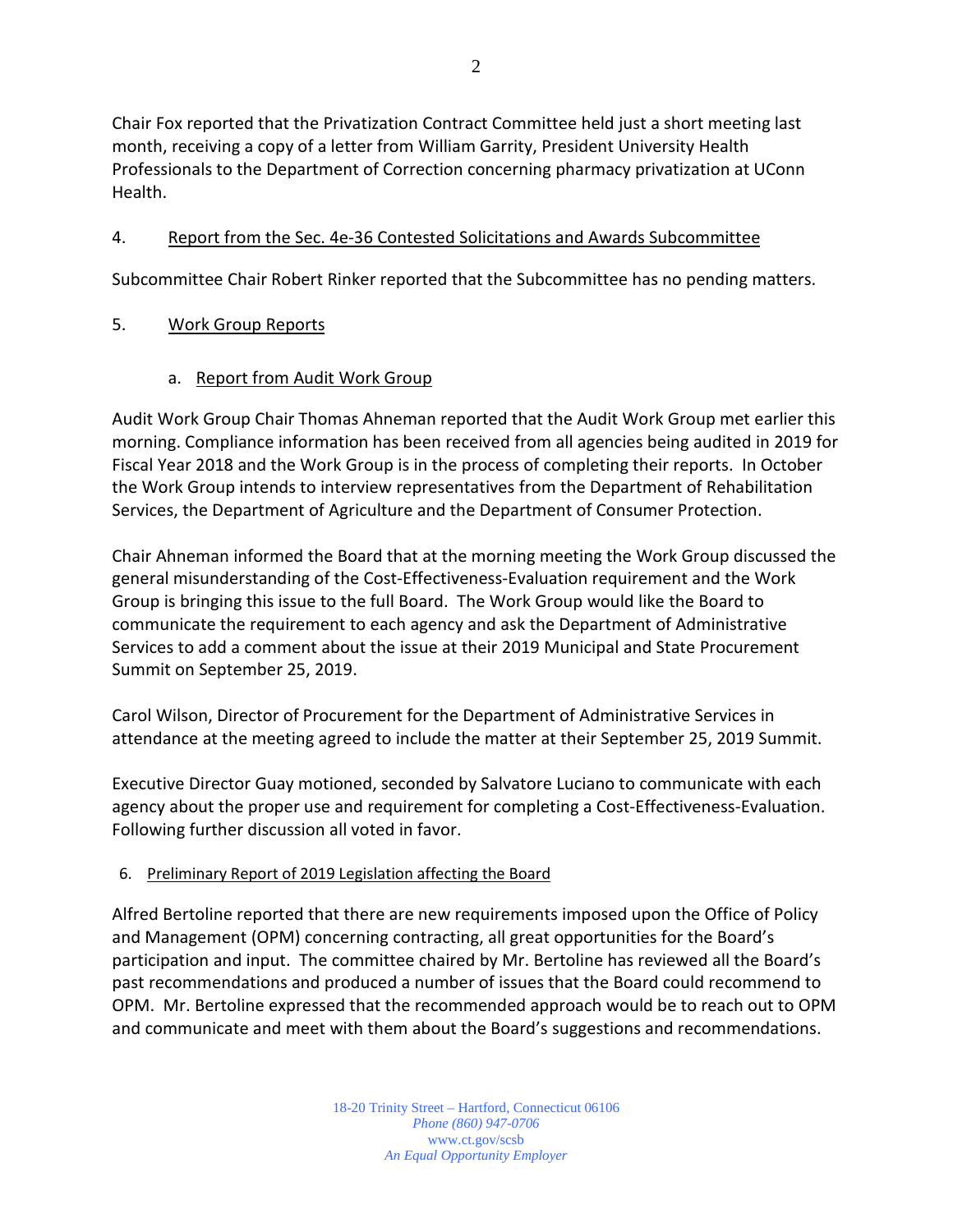Chair Fox reported that the Privatization Contract Committee held just a short meeting last month, receiving a copy of a letter from William Garrity, President University Health Professionals to the Department of Correction concerning pharmacy privatization at UConn Health.

# 4. Report from the Sec. 4e-36 Contested Solicitations and Awards Subcommittee

Subcommittee Chair Robert Rinker reported that the Subcommittee has no pending matters.

# 5. Work Group Reports

### a. Report from Audit Work Group

Audit Work Group Chair Thomas Ahneman reported that the Audit Work Group met earlier this morning. Compliance information has been received from all agencies being audited in 2019 for Fiscal Year 2018 and the Work Group is in the process of completing their reports. In October the Work Group intends to interview representatives from the Department of Rehabilitation Services, the Department of Agriculture and the Department of Consumer Protection.

Chair Ahneman informed the Board that at the morning meeting the Work Group discussed the general misunderstanding of the Cost-Effectiveness-Evaluation requirement and the Work Group is bringing this issue to the full Board. The Work Group would like the Board to communicate the requirement to each agency and ask the Department of Administrative Services to add a comment about the issue at their 2019 Municipal and State Procurement Summit on September 25, 2019.

Carol Wilson, Director of Procurement for the Department of Administrative Services in attendance at the meeting agreed to include the matter at their September 25, 2019 Summit.

Executive Director Guay motioned, seconded by Salvatore Luciano to communicate with each agency about the proper use and requirement for completing a Cost-Effectiveness-Evaluation. Following further discussion all voted in favor.

### 6. Preliminary Report of 2019 Legislation affecting the Board

Alfred Bertoline reported that there are new requirements imposed upon the Office of Policy and Management (OPM) concerning contracting, all great opportunities for the Board's participation and input. The committee chaired by Mr. Bertoline has reviewed all the Board's past recommendations and produced a number of issues that the Board could recommend to OPM. Mr. Bertoline expressed that the recommended approach would be to reach out to OPM and communicate and meet with them about the Board's suggestions and recommendations.